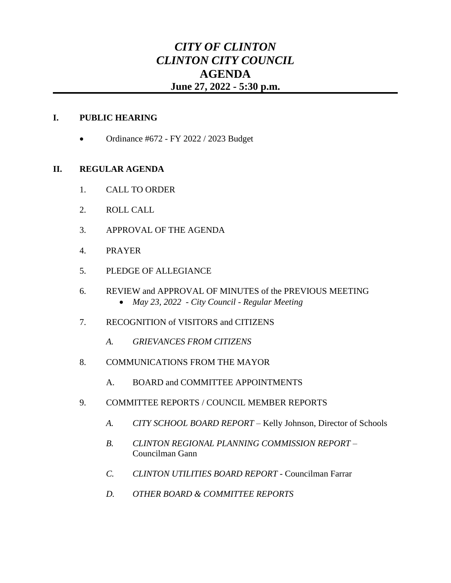# *CITY OF CLINTON CLINTON CITY COUNCIL* **AGENDA June 27, 2022 - 5:30 p.m.**

## **I. PUBLIC HEARING**

• Ordinance #672 - FY 2022 / 2023 Budget

## **II. REGULAR AGENDA**

- 1. CALL TO ORDER
- 2. ROLL CALL
- 3. APPROVAL OF THE AGENDA
- 4. PRAYER
- 5. PLEDGE OF ALLEGIANCE
- 6. REVIEW and APPROVAL OF MINUTES of the PREVIOUS MEETING • *May 23, 2022 - City Council - Regular Meeting*
- 7. RECOGNITION of VISITORS and CITIZENS
	- *A. GRIEVANCES FROM CITIZENS*
- 8. COMMUNICATIONS FROM THE MAYOR
	- A. BOARD and COMMITTEE APPOINTMENTS
- 9. COMMITTEE REPORTS / COUNCIL MEMBER REPORTS
	- *A. CITY SCHOOL BOARD REPORT* Kelly Johnson, Director of Schools
	- *B. CLINTON REGIONAL PLANNING COMMISSION REPORT* Councilman Gann
	- *C. CLINTON UTILITIES BOARD REPORT* Councilman Farrar
	- *D. OTHER BOARD & COMMITTEE REPORTS*